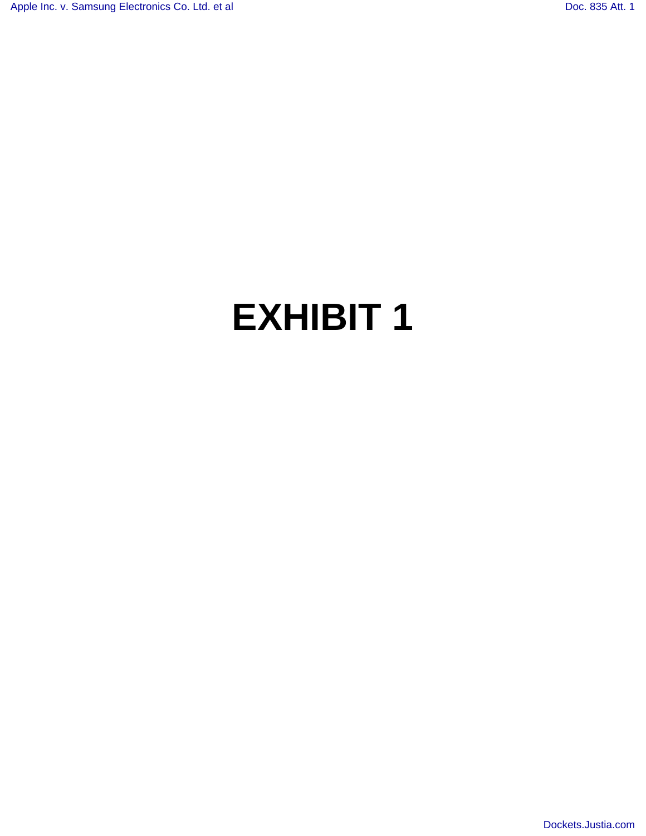## **EXHIBIT 1**

[Dockets.Justia.com](http://dockets.justia.com/)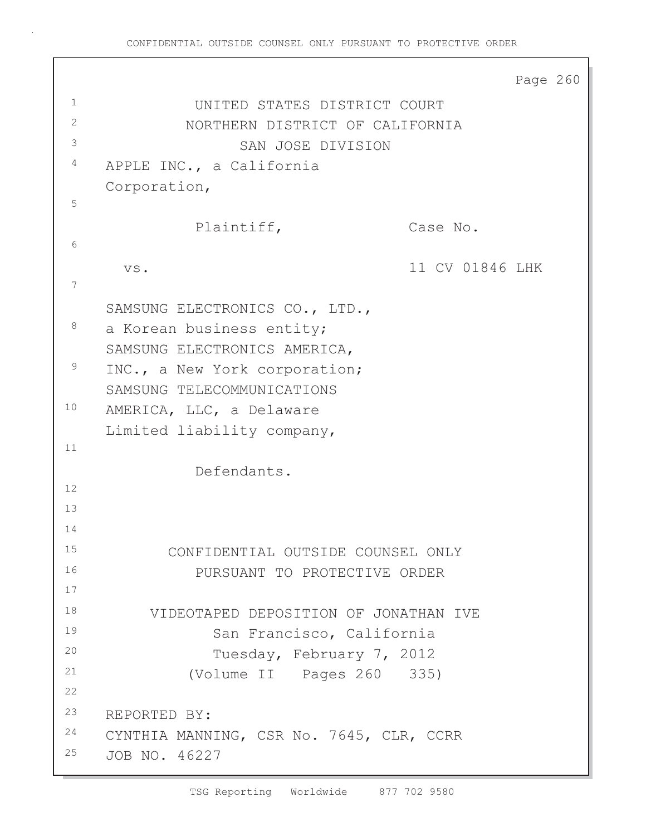```
Page 260
<sup>1</sup> UNITED STATES DISTRICT COURT
2 NORTHERN DISTRICT OF CALIFORNIA
3 SAN JOSE DIVISION
4 APPLE INC., a California
    Corporation,
5
             Plaintiff, Case No.
6
      vs. 11 CV 01846 LHK
7
    SAMSUNG ELECTRONICS CO., LTD.,
<sup>8</sup> a Korean business entity;
    SAMSUNG ELECTRONICS AMERICA,
<sup>9</sup> INC., a New York corporation;
    SAMSUNG TELECOMMUNICATIONS
10 AMERICA, LLC, a Delaware
    Limited liability company,
11
              Defendants.
12
13
14
15 CONFIDENTIAL OUTSIDE COUNSEL ONLY
16 PURSUANT TO PROTECTIVE ORDER
17
18 VIDEOTAPED DEPOSITION OF JONATHAN IVE
19 San Francisco, California
20 Tuesday, February 7, 2012
21 (Volume II Pages 260 335)
22
23 REPORTED BY:
<sup>24</sup> CYNTHIA MANNING, CSR No. 7645, CLR, CCRR
25 JOB NO. 46227
```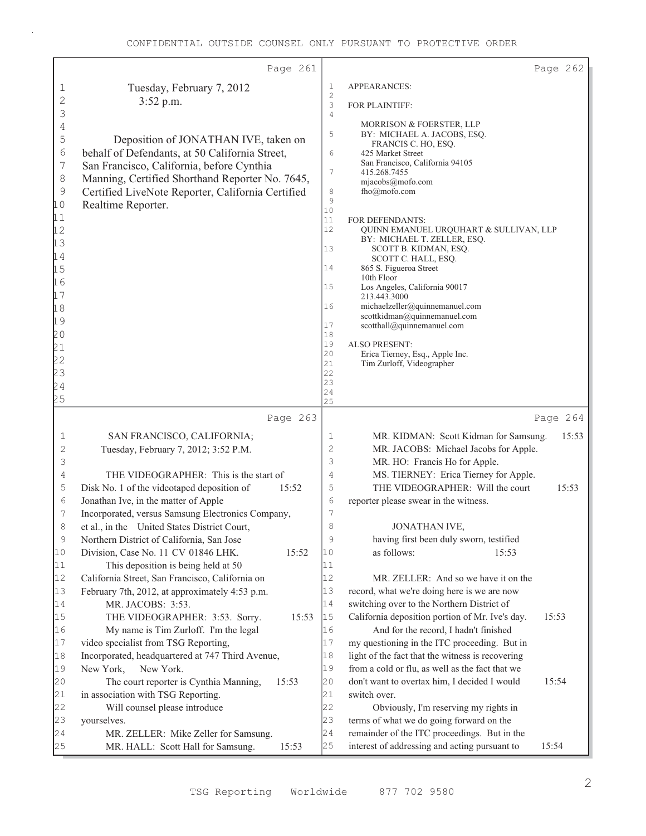|                          | Page 261                                                                                      |                     | Page 262                                                                                          |       |
|--------------------------|-----------------------------------------------------------------------------------------------|---------------------|---------------------------------------------------------------------------------------------------|-------|
| 1                        | Tuesday, February 7, 2012                                                                     | $\mathbf 1$         | APPEARANCES:                                                                                      |       |
| 2                        | 3:52 p.m.                                                                                     | $\mathbf{2}$<br>3   | FOR PLAINTIFF:                                                                                    |       |
| 3                        |                                                                                               | $\overline{4}$      | MORRISON & FOERSTER, LLP                                                                          |       |
| $\sqrt{4}$<br>5          | Deposition of JONATHAN IVE, taken on                                                          | 5                   | BY: MICHAEL A. JACOBS, ESQ.                                                                       |       |
| $\sqrt{6}$               | behalf of Defendants, at 50 California Street,                                                | 6                   | FRANCIS C. HO, ESQ.<br>425 Market Street                                                          |       |
| $\overline{\phantom{a}}$ | San Francisco, California, before Cynthia                                                     |                     | San Francisco, California 94105                                                                   |       |
| $\,8\,$                  | Manning, Certified Shorthand Reporter No. 7645,                                               | 7                   | 415.268.7455<br>mjacobs@mofo.com                                                                  |       |
| $\mathcal{G}$            | Certified LiveNote Reporter, California Certified                                             | 8                   | fho@mofo.com                                                                                      |       |
| 10                       | Realtime Reporter.                                                                            | $\mathcal{G}$<br>10 |                                                                                                   |       |
| 11                       |                                                                                               | $11\,$              | FOR DEFENDANTS:                                                                                   |       |
| 12                       |                                                                                               | 12                  | QUINN EMANUEL URQUHART & SULLIVAN, LLP                                                            |       |
| 13                       |                                                                                               | 13                  | BY: MICHAEL T. ZELLER, ESQ.<br>SCOTT B. KIDMAN, ESQ.                                              |       |
| 14                       |                                                                                               |                     | SCOTT C. HALL, ESQ.                                                                               |       |
| 15                       |                                                                                               | 14                  | 865 S. Figueroa Street<br>10th Floor                                                              |       |
| 16<br>17                 |                                                                                               | 15                  | Los Angeles, California 90017                                                                     |       |
| 18                       |                                                                                               | 16                  | 213.443.3000<br>michaelzeller@quinnemanuel.com                                                    |       |
| 19                       |                                                                                               |                     | scottkidman@quinnemanuel.com                                                                      |       |
| 20                       |                                                                                               | 17<br>18            | scotthall@quinnemanuel.com                                                                        |       |
| 21                       |                                                                                               | 19                  | <b>ALSO PRESENT:</b>                                                                              |       |
|                          |                                                                                               | 20<br>21            | Erica Tierney, Esq., Apple Inc.<br>Tim Zurloff, Videographer                                      |       |
| 22<br>23<br>24           |                                                                                               | 22                  |                                                                                                   |       |
|                          |                                                                                               | 23<br>24            |                                                                                                   |       |
| 25                       |                                                                                               | 25                  |                                                                                                   |       |
|                          | Page 263                                                                                      |                     | Page 264                                                                                          |       |
| 1                        | SAN FRANCISCO, CALIFORNIA;                                                                    | 1                   | MR. KIDMAN: Scott Kidman for Samsung.                                                             | 15:53 |
| $\mathbf{2}$             | Tuesday, February 7, 2012; 3:52 P.M.                                                          | 2                   | MR. JACOBS: Michael Jacobs for Apple.                                                             |       |
| 3<br>4                   |                                                                                               | 3<br>4              | MR. HO: Francis Ho for Apple.<br>MS. TIERNEY: Erica Tierney for Apple.                            |       |
| 5                        | THE VIDEOGRAPHER: This is the start of<br>Disk No. 1 of the videotaped deposition of<br>15:52 | 5                   | THE VIDEOGRAPHER: Will the court<br>15:53                                                         |       |
| $\sqrt{6}$               | Jonathan Ive, in the matter of Apple                                                          | $\sqrt{6}$          | reporter please swear in the witness.                                                             |       |
| 7                        | Incorporated, versus Samsung Electronics Company,                                             | 7                   |                                                                                                   |       |
| 8                        | et al., in the United States District Court,                                                  | 8                   | JONATHAN IVE.                                                                                     |       |
| $\mathfrak{g}$           | Northern District of California, San Jose                                                     | 9                   | having first been duly sworn, testified                                                           |       |
| 10                       | Division, Case No. 11 CV 01846 LHK.<br>15:52                                                  | 10                  | as follows:<br>15:53                                                                              |       |
| 11                       | This deposition is being held at 50                                                           | 11                  |                                                                                                   |       |
| 12                       | California Street, San Francisco, California on                                               | 12                  | MR. ZELLER: And so we have it on the                                                              |       |
| 13                       | February 7th, 2012, at approximately 4:53 p.m.                                                | 13                  | record, what we're doing here is we are now                                                       |       |
| 14                       | MR. JACOBS: 3:53.                                                                             | 14                  | switching over to the Northern District of                                                        |       |
| 15<br>16                 | 15:53<br>THE VIDEOGRAPHER: 3:53. Sorry.                                                       | 15<br>16            | California deposition portion of Mr. Ive's day.<br>15:53<br>And for the record, I hadn't finished |       |
| 17                       | My name is Tim Zurloff. I'm the legal<br>video specialist from TSG Reporting,                 | 17                  | my questioning in the ITC proceeding. But in                                                      |       |
| 18                       | Incorporated, headquartered at 747 Third Avenue,                                              | 18                  | light of the fact that the witness is recovering                                                  |       |
| 19                       | New York.<br>New York,                                                                        | 19                  | from a cold or flu, as well as the fact that we                                                   |       |
| 20                       | The court reporter is Cynthia Manning,<br>15:53                                               | 20                  | don't want to overtax him, I decided I would<br>15:54                                             |       |
| 21                       | in association with TSG Reporting.                                                            | 21                  | switch over.                                                                                      |       |
| 22                       | Will counsel please introduce                                                                 | 22                  | Obviously, I'm reserving my rights in                                                             |       |
| 23                       | yourselves.                                                                                   | 23                  | terms of what we do going forward on the                                                          |       |
| 24<br>25                 | MR. ZELLER: Mike Zeller for Samsung.                                                          | 24                  | remainder of the ITC proceedings. But in the                                                      |       |
|                          | MR. HALL: Scott Hall for Samsung.<br>15:53                                                    | 25                  | interest of addressing and acting pursuant to<br>15:54                                            |       |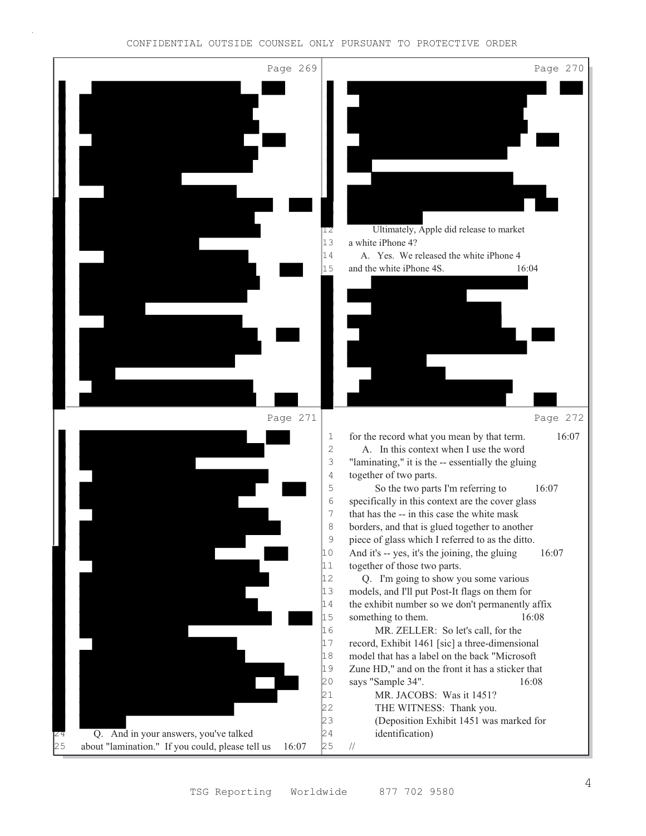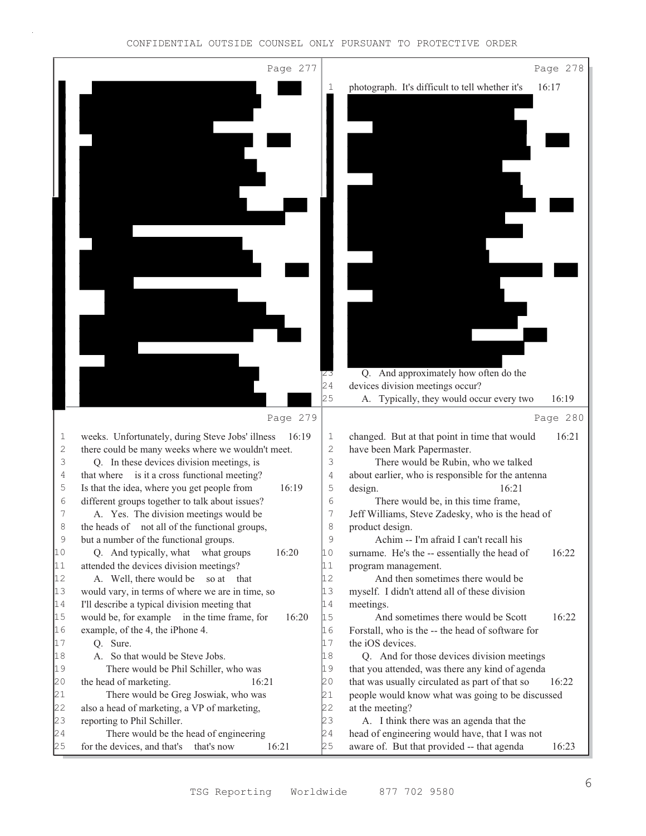